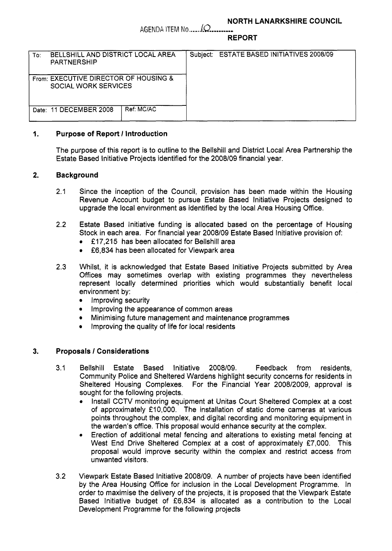## **NORTH LANARKSHIRE COUNCIL**

AGENDA ITEM No  $\mathcal{L}$ 

**REPORT** 

| <b>BELLSHILL AND DISTRICT LOCAL AREA</b><br>To:<br>PARTNERSHIP       | Subject: ESTATE BASED INITIATIVES 2008/09 |
|----------------------------------------------------------------------|-------------------------------------------|
| From: EXECUTIVE DIRECTOR OF HOUSING &<br><b>SOCIAL WORK SERVICES</b> |                                           |
| Ref: MC/AC<br>Date: 11 DECEMBER 2008                                 |                                           |

# **1. Purpose of Report** / **Introduction**

The purpose of this report is to outline to the Bellshill and District Local Area Partnership the Estate Based Initiative Projects identified for the **2008109** financial year.

# **2. Background**

- **2.1** Since the inception of the Council, provision has been made within the Housing Revenue Account budget to pursue Estate Based Initiative Projects designed to upgrade the local environment as identified by the local Area Housing Office.
- **2.2** Estate Based Initiative funding is allocated based on the percentage of Housing Stock in each area. For financial year **2008/09** Estate Based Initiative provision of:
	- **f 17,215** has been allocated for Bellshill area
	- **f6,834** has been allocated for Viewpark area
- **2.3** Whilst, it is acknowledged that Estate Based Initiative Projects submitted by Area Offices may sometimes overlap with existing programmes they nevertheless represent locally determined priorities which would substantially benefit local environment by:
	- Improving security  $\bullet$
	- Improving the appearance of common areas
	- Minimising future management and maintenance programmes
	- Improving the quality of life for local residents

## **3. Proposals** / **Considerations**

- **3.1** Bellshill Estate Based Initiative **2008/09.** Feedback from residents, Community Police and Sheltered Wardens highlight security concerns for residents in Sheltered Housing Complexes. For the Financial Year **2008/2009,** approval is sought for the following projects.
	- $\bullet$ Install CCTV monitoring equipment at Unitas Court Sheltered Complex at a cost of approximately **f 10,000.** The installation of static dome cameras at various points throughout the complex, and digital recording and monitoring equipment in the warden's office. This proposal would enhance security at the complex.
	- Erection of additional metal fencing and alterations to existing metal fencing at West End Drive Sheltered Complex at a cost of approximately £7,000. This proposal would improve security within the complex and restrict access from unwanted visitors. *0*
- **3.2** Viewpark Estate Based Initiative **2008/09.** A number of projects have been identified by the Area Housing Office for inclusion in the Local Development Programme. In order to maximise the delivery of the projects, it is proposed that the Viewpark Estate Based Initiative budget of **f6,834** is allocated as a contribution to the Local Development Programme for the following projects